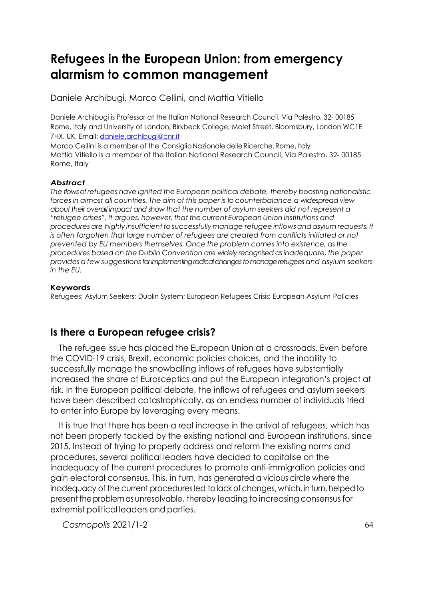Daniele Archibugi, Marco Cellini, and Mattia Vitiello

Daniele Archibugi is Professor at the Italian National Research Council, Via Palestro, 32- 00185 Rome, Italy and University of London, Birkbeck College, Malet Street, Bloomsbury, London WC1E 7HX, UK. Email: [daniele.archibugi@cnr.it](mailto:daniele.archibugi@cnr.it)

Marco CellinI is a member of the ConsiglioNazionaledelle Ricerche, Rome, Italy Mattia Vitiello is a member of the Italian National Research Council, Via Palestro, 32- 00185 Rome, Italy

#### *Abstract*

*The flows of refugees have ignited the European political debate, thereby boosting nationalistic forces in almost all countries. The aim of this paper is to counterbalance a widespread view about their overall impact and show that the number of asylum seekers did not represent a "refugee crises". It argues, however, that the current European Union institutions and procedures are highly insufficientto successfully manage refugee inflowsandasylum requests. It*  is often forgotten that large number of refugees are created from conflicts initiated or not *prevented by EU members themselves. Once the problem comes into existence, as the procedures based on the Dublin Convention are widely recognised as inadequate, the paper provides a few suggestionsfor implementing radical changes to manage refugees and asylum seekers in the EU.*

#### **Keywords**

Refugees; Asylum Seekers; Dublin System; European Refugees Crisis; European Asylum Policies

## **Is there a European refugee crisis?**

The refugee issue has placed the European Union at a crossroads. Even before the COVID-19 crisis, Brexit, economic policies choices, and the inability to successfully manage the snowballing inflows of refugees have substantially increased the share of Eurosceptics and put the European integration's project at risk. In the European political debate, the inflows of refugees and asylum seekers have been described catastrophically, as an endless number of individuals tried to enter into Europe by leveraging every means.

It is true that there has been a real increase in the arrival of refugees, which has not been properly tackled by the existing national and European institutions, since 2015. Instead of trying to properly address and reform the existing norms and procedures, several political leaders have decided to capitalise on the inadequacy of the current procedures to promote anti-immigration policies and gain electoral consensus. This, in turn, has generated a vicious circle where the inadequacy of the current proceduresled to lack of changes, which, inturn, helped to present the problem as unresolvable, thereby leading to increasing consensus for extremist political leaders and parties.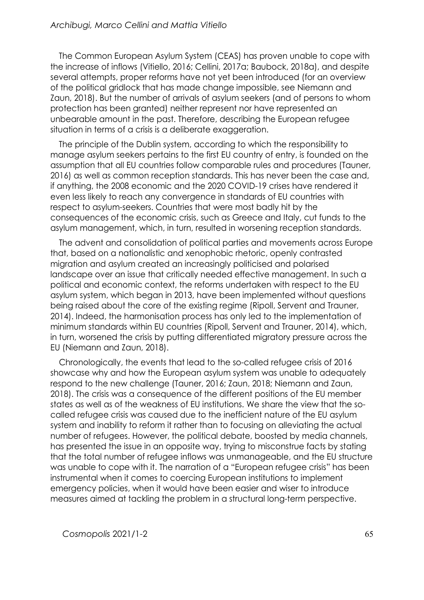The Common European Asylum System (CEAS) has proven unable to cope with the increase of inflows (Vitiello, 2016; Cellini, 2017a; Baubock, 2018a), and despite several attempts, proper reforms have not yet been introduced (for an overview of the political gridlock that has made change impossible, see Niemann and Zaun, 2018). But the number of arrivals of asylum seekers (and of persons to whom protection has been granted) neither represent nor have represented an unbearable amount in the past. Therefore, describing the European refugee situation in terms of a crisis is a deliberate exaggeration.

The principle of the Dublin system, according to which the responsibility to manage asylum seekers pertains to the first EU country of entry, is founded on the assumption that all EU countries follow comparable rules and procedures (Tauner, 2016) as well as common reception standards. This has never been the case and, if anything, the 2008 economic and the 2020 COVID-19 crises have rendered it even less likely to reach any convergence in standards of EU countries with respect to asylum-seekers. Countries that were most badly hit by the consequences of the economic crisis, such as Greece and Italy, cut funds to the asylum management, which, in turn, resulted in worsening reception standards.

The advent and consolidation of political parties and movements across Europe that, based on a nationalistic and xenophobic rhetoric, openly contrasted migration and asylum created an increasingly politicised and polarised landscape over an issue that critically needed effective management. In such a political and economic context, the reforms undertaken with respect to the EU asylum system, which began in 2013, have been implemented without questions being raised about the core of the existing regime (Ripoll, Servent and Trauner, 2014). Indeed, the harmonisation process has only led to the implementation of minimum standards within EU countries (Ripoll, Servent and Trauner, 2014), which, in turn, worsened the crisis by putting differentiated migratory pressure across the EU (Niemann and Zaun, 2018).

Chronologically, the events that lead to the so-called refugee crisis of 2016 showcase why and how the European asylum system was unable to adequately respond to the new challenge (Tauner, 2016; Zaun, 2018; Niemann and Zaun, 2018). The crisis was a consequence of the different positions of the EU member states as well as of the weakness of EU institutions. We share the view that the socalled refugee crisis was caused due to the inefficient nature of the EU asylum system and inability to reform it rather than to focusing on alleviating the actual number of refugees. However, the political debate, boosted by media channels, has presented the issue in an opposite way, trying to misconstrue facts by stating that the total number of refugee inflows was unmanageable, and the EU structure was unable to cope with it. The narration of a "European refugee crisis" has been instrumental when it comes to coercing European institutions to implement emergency policies, when it would have been easier and wiser to introduce measures aimed at tackling the problem in a structural long-term perspective.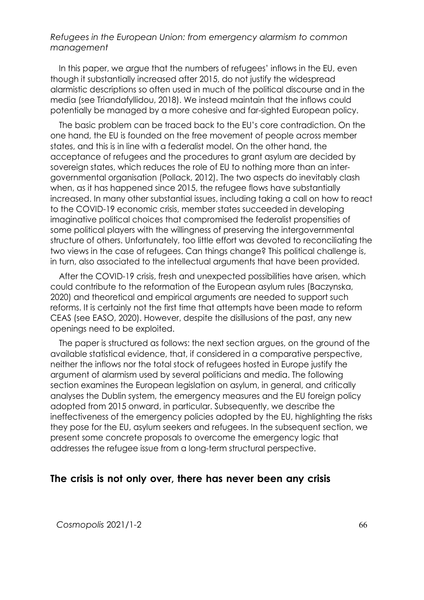In this paper, we argue that the numbers of refugees' inflows in the EU, even though it substantially increased after 2015, do not justify the widespread alarmistic descriptions so often used in much of the political discourse and in the media (see Triandafyllidou, 2018). We instead maintain that the inflows could potentially be managed by a more cohesive and far-sighted European policy.

The basic problem can be traced back to the EU's core contradiction. On the one hand, the EU is founded on the free movement of people across member states, and this is in line with a federalist model. On the other hand, the acceptance of refugees and the procedures to grant asylum are decided by sovereign states, which reduces the role of EU to nothing more than an intergovernmental organisation (Pollack, 2012). The two aspects do inevitably clash when, as it has happened since 2015, the refugee flows have substantially increased. In many other substantial issues, including taking a call on how to react to the COVID-19 economic crisis, member states succeeded in developing imaginative political choices that compromised the federalist propensities of some political players with the willingness of preserving the intergovernmental structure of others. Unfortunately, too little effort was devoted to reconciliating the two views in the case of refugees. Can things change? This political challenge is, in turn, also associated to the intellectual arguments that have been provided.

After the COVID-19 crisis, fresh and unexpected possibilities have arisen, which could contribute to the reformation of the European asylum rules (Baczynska, 2020) and theoretical and empirical arguments are needed to support such reforms. It is certainly not the first time that attempts have been made to reform CEAS (see EASO, 2020). However, despite the disillusions of the past, any new openings need to be exploited.

The paper is structured as follows: the next section argues, on the ground of the available statistical evidence, that, if considered in a comparative perspective, neither the inflows nor the total stock of refugees hosted in Europe justify the argument of alarmism used by several politicians and media. The following section examines the European legislation on asylum, in general, and critically analyses the Dublin system, the emergency measures and the EU foreign policy adopted from 2015 onward, in particular. Subsequently, we describe the ineffectiveness of the emergency policies adopted by the EU, highlighting the risks they pose for the EU, asylum seekers and refugees. In the subsequent section, we present some concrete proposals to overcome the emergency logic that addresses the refugee issue from a long-term structural perspective.

#### **The crisis is not only over, there has never been any crisis**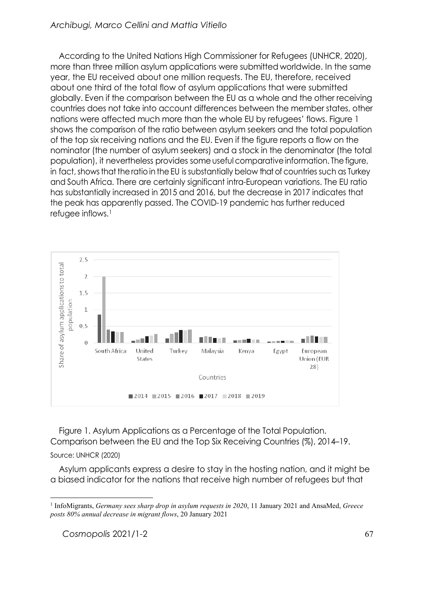According to the United Nations High Commissioner for Refugees (UNHCR, 2020), more than three million asylum applications were submitted worldwide. In the same year, the EU received about one million requests. The EU, therefore, received about one third of the total flow of asylum applications that were submitted globally. Even if the comparison between the EU as a whole and the other receiving countries does not take into account differences between the member states, other nations were affected much more than the whole EU by refugees' flows. Figure 1 shows the comparison of the ratio between asylum seekers and the total population of the top six receiving nations and the EU. Even if the figure reports a flow on the nominator (the number of asylum seekers) and a stock in the denominator (the total population), it nevertheless provides some useful comparative information. The figure, in fact, shows that the ratio in the EU is substantially below that of countries such as Turkey and South Africa. There are certainly significant intra-European variations. The EU ratio has substantially increased in 2015 and 2016, but the decrease in 2017 indicates that the peak has apparently passed. The COVID-19 pandemic has further reduced refugee inflows.[1](#page-3-0)



Figure 1. Asylum Applications as a Percentage of the Total Population. Comparison between the EU and the Top Six Receiving Countries (%), 2014–19.

Source: UNHCR (2020)

Asylum applicants express a desire to stay in the hosting nation, and it might be a biased indicator for the nations that receive high number of refugees but that

<span id="page-3-0"></span><sup>1</sup> InfoMigrants, *Germany sees sharp drop in asylum requests in 2020*, 11 January 2021 and AnsaMed, *Greece posts 80% annual decrease in migrant flows*, 20 January 2021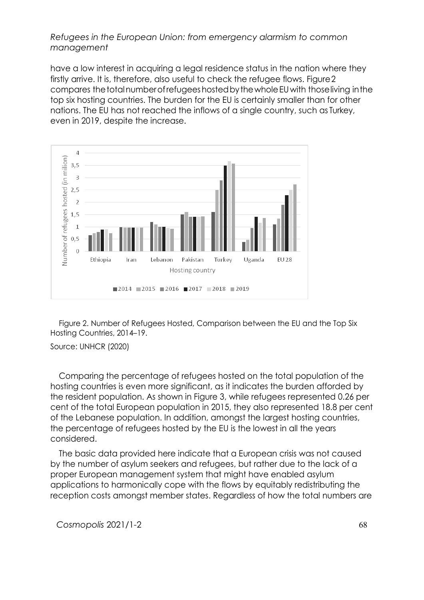have a low interest in acquiring a legal residence status in the nation where they firstly arrive. It is, therefore, also useful to check the refugee flows. Figure2 compares the total number of refugees hosted by the whole EU with those living in the top six hosting countries. The burden for the EU is certainly smaller than for other nations. The EU has not reached the inflows of a single country, such as Turkey, even in 2019, despite the increase.



Figure 2. Number of Refugees Hosted, Comparison between the EU and the Top Six Hosting Countries, 2014–19.

Source: UNHCR (2020)

Comparing the percentage of refugees hosted on the total population of the hosting countries is even more significant, as it indicates the burden afforded by the resident population. As shown in Figure 3, while refugees represented 0.26 per cent of the total European population in 2015, they also represented 18.8 per cent of the Lebanese population. In addition, amongst the largest hosting countries, the percentage of refugees hosted by the EU is the lowest in all the years considered.

The basic data provided here indicate that a European crisis was not caused by the number of asylum seekers and refugees, but rather due to the lack of a proper European management system that might have enabled asylum applications to harmonically cope with the flows by equitably redistributing the reception costs amongst member states. Regardless of how the total numbers are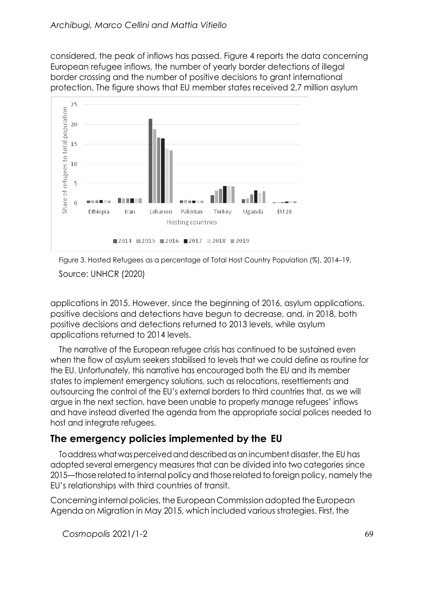considered, the peak of inflows has passed. Figure 4 reports the data concerning European refugee inflows, the number of yearly border detections of illegal border crossing and the number of positive decisions to grant international protection. The figure shows that EU member states received 2.7 million asylum





applications in 2015. However, since the beginning of 2016, asylum applications, positive decisions and detections have begun to decrease, and, in 2018, both positive decisions and detections returned to 2013 levels, while asylum applications returned to 2014 levels.

The narrative of the European refugee crisis has continued to be sustained even when the flow of asylum seekers stabilised to levels that we could define as routine for the EU. Unfortunately, this narrative has encouraged both the EU and its member states to implement emergency solutions, such as relocations, resettlements and outsourcing the control of the EU's external borders to third countries that, as we will argue in the next section, have been unable to properly manage refugees' inflows and have instead diverted the agenda from the appropriate social polices needed to host and integrate refugees.

# **The emergency policies implemented by the EU**

To address what was perceived and described as an incumbent disaster, the EU has adopted several emergency measures that can be divided into two categories since 2015—those related to internal policy and those related to foreign policy, namely the EU's relationships with third countries of transit.

Concerning internal policies, the European Commission adopted the European Agenda on Migration in May 2015, which included various strategies. First, the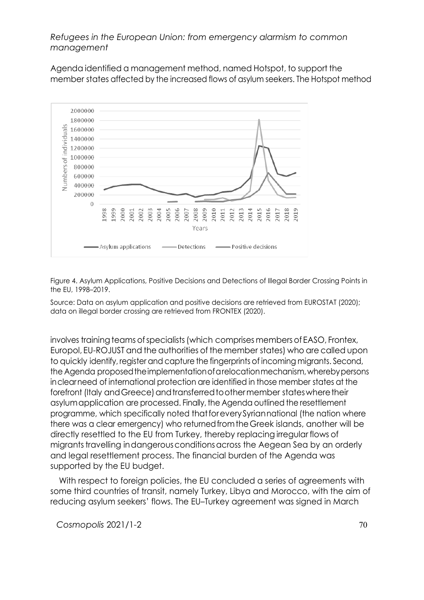Agenda identified a management method, named Hotspot, to support the member states affected by the increased flows of asylum seekers. The Hotspot method



Figure 4. Asylum Applications, Positive Decisions and Detections of Illegal Border Crossing Points in the EU, 1998–2019.

Source: Data on asylum application and positive decisions are retrieved from EUROSTAT (2020); data on illegal border crossing are retrieved from FRONTEX (2020).

involves training teams of specialists (which comprises members of EASO, Frontex, Europol, EU-ROJUST and the authorities of the member states) who are called upon to quickly identify, register and capture the fingerprints of incoming migrants. Second, the Agenda proposedtheimplementationofarelocationmechanism,wherebypersons inclearneed of international protection are identified in those member states at the forefront (Italy and Greece) and transferred to other member states where their asylumapplication are processed. Finally, the Agenda outlined the resettlement programme, which specifically noted thatforeverySyriannational (the nation where there was a clear emergency) who returnedfromtheGreek islands, another will be directly resettled to the EU from Turkey, thereby replacing irregular flows of migrantstravelling indangerous conditions across the Aegean Sea by an orderly and legal resettlement process. The financial burden of the Agenda was supported by the EU budget.

With respect to foreign policies, the EU concluded a series of agreements with some third countries of transit, namely Turkey, Libya and Morocco, with the aim of reducing asylum seekers' flows. The EU–Turkey agreement was signed in March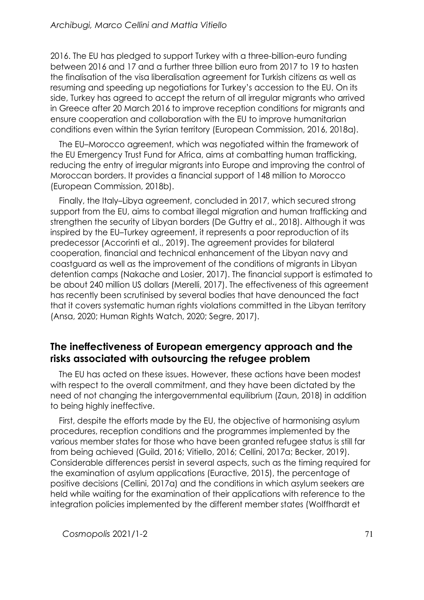2016. The EU has pledged to support Turkey with a three-billion-euro funding between 2016 and 17 and a further three billion euro from 2017 to 19 to hasten the finalisation of the visa liberalisation agreement for Turkish citizens as well as resuming and speeding up negotiations for Turkey's accession to the EU. On its side, Turkey has agreed to accept the return of all irregular migrants who arrived in Greece after 20 March 2016 to improve reception conditions for migrants and ensure cooperation and collaboration with the EU to improve humanitarian conditions even within the Syrian territory (European Commission, 2016, 2018a).

The EU–Morocco agreement, which was negotiated within the framework of the EU Emergency Trust Fund for Africa, aims at combatting human trafficking, reducing the entry of irregular migrants into Europe and improving the control of Moroccan borders. It provides a financial support of 148 million to Morocco (European Commission, 2018b).

Finally, the Italy–Libya agreement, concluded in 2017, which secured strong support from the EU, aims to combat illegal migration and human trafficking and strengthen the security of Libyan borders (De Guttry et al., 2018). Although it was inspired by the EU–Turkey agreement, it represents a poor reproduction of its predecessor (Accorinti et al., 2019). The agreement provides for bilateral cooperation, financial and technical enhancement of the Libyan navy and coastguard as well as the improvement of the conditions of migrants in Libyan detention camps (Nakache and Losier, 2017). The financial support is estimated to be about 240 million US dollars (Merelli, 2017). The effectiveness of this agreement has recently been scrutinised by several bodies that have denounced the fact that it covers systematic human rights violations committed in the Libyan territory (Ansa, 2020; Human Rights Watch, 2020; Segre, 2017).

## **The ineffectiveness of European emergency approach and the risks associated with outsourcing the refugee problem**

The EU has acted on these issues. However, these actions have been modest with respect to the overall commitment, and they have been dictated by the need of not changing the intergovernmental equilibrium (Zaun, 2018) in addition to being highly ineffective.

First, despite the efforts made by the EU, the objective of harmonising asylum procedures, reception conditions and the programmes implemented by the various member states for those who have been granted refugee status is still far from being achieved (Guild, 2016; Vitiello, 2016; Cellini, 2017a; Becker, 2019). Considerable differences persist in several aspects, such as the timing required for the examination of asylum applications (Euractive, 2015), the percentage of positive decisions (Cellini, 2017a) and the conditions in which asylum seekers are held while waiting for the examination of their applications with reference to the integration policies implemented by the different member states (Wolffhardt et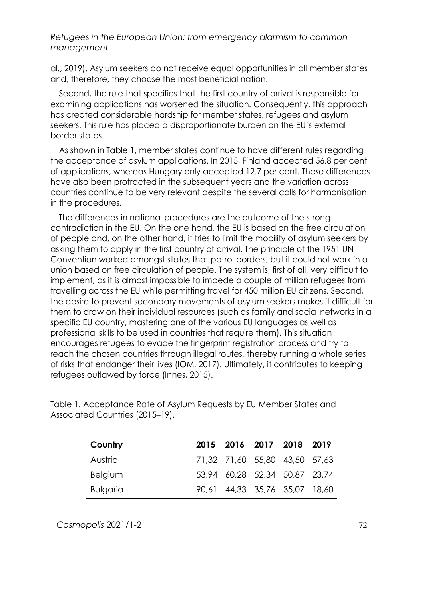al., 2019). Asylum seekers do not receive equal opportunities in all member states and, therefore, they choose the most beneficial nation.

Second, the rule that specifies that the first country of arrival is responsible for examining applications has worsened the situation. Consequently, this approach has created considerable hardship for member states, refugees and asylum seekers. This rule has placed a disproportionate burden on the EU's external border states.

As shown in Table 1, member states continue to have different rules regarding the acceptance of asylum applications. In 2015, Finland accepted 56.8 per cent of applications, whereas Hungary only accepted 12.7 per cent. These differences have also been protracted in the subsequent years and the variation across countries continue to be very relevant despite the several calls for harmonisation in the procedures.

The differences in national procedures are the outcome of the strong contradiction in the EU. On the one hand, the EU is based on the free circulation of people and, on the other hand, it tries to limit the mobility of asylum seekers by asking them to apply in the first country of arrival. The principle of the 1951 UN Convention worked amongst states that patrol borders, but it could not work in a union based on free circulation of people. The system is, first of all, very difficult to implement, as it is almost impossible to impede a couple of million refugees from travelling across the EU while permitting travel for 450 million EU citizens. Second, the desire to prevent secondary movements of asylum seekers makes it difficult for them to draw on their individual resources (such as family and social networks in a specific EU country, mastering one of the various EU languages as well as professional skills to be used in countries that require them). This situation encourages refugees to evade the fingerprint registration process and try to reach the chosen countries through illegal routes, thereby running a whole series of risks that endanger their lives (IOM, 2017). Ultimately, it contributes to keeping refugees outlawed by force (Innes, 2015).

| Country         | 2015 2016 2017 2018 2019      |  |  |
|-----------------|-------------------------------|--|--|
| Austria         | 71,32 71,60 55,80 43,50 57,63 |  |  |
| Belgium         | 53.94 60.28 52,34 50,87 23,74 |  |  |
| <b>Bulgaria</b> | 90,61 44,33 35,76 35,07 18,60 |  |  |

Table 1. Acceptance Rate of Asylum Requests by EU Member States and Associated Countries (2015–19).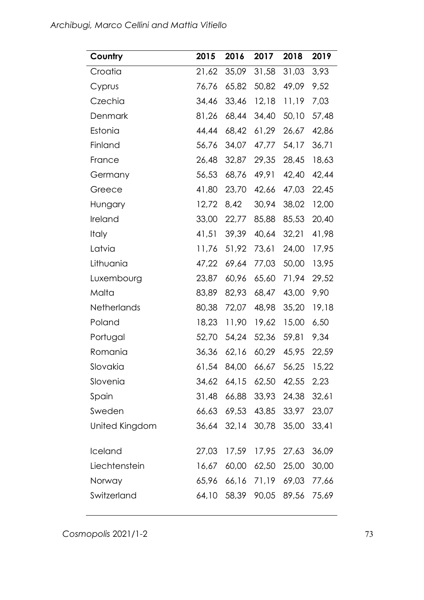| Country        | 2015  | 2016                         | 2017        | 2018        | 2019  |
|----------------|-------|------------------------------|-------------|-------------|-------|
| Croatia        | 21,62 | 35,09                        | 31,58       | 31,03       | 3,93  |
| Cyprus         | 76,76 | 65,82                        | 50,82       | 49,09       | 9,52  |
| Czechia        | 34,46 | 33,46                        | 12,18       | 11,19       | 7,03  |
| Denmark        | 81,26 | 68,44                        | 34,40       | 50,10       | 57,48 |
| Estonia        | 44,44 | 68,42                        | 61,29       | 26,67       | 42,86 |
| Finland        | 56,76 | 34,07                        | 47,77       | 54,17       | 36,71 |
| France         | 26,48 | 32,87                        | 29,35       | 28,45       | 18,63 |
| Germany        | 56,53 | 68,76                        | 49,91       | 42,40       | 42,44 |
| Greece         | 41,80 | 23,70                        | 42,66       | 47,03       | 22,45 |
| Hungary        | 12,72 | 8,42                         | 30,94       | 38,02       | 12,00 |
| Ireland        | 33,00 | 22,77                        | 85,88       | 85,53       | 20,40 |
| <b>Italy</b>   | 41,51 | 39,39                        | 40,64       | 32,21       | 41,98 |
| Latvia         | 11,76 | 51,92                        | 73,61       | 24,00       | 17,95 |
| Lithuania      | 47,22 | 69,64                        | 77,03       | 50,00       | 13,95 |
| Luxembourg     | 23,87 | 60,96                        | 65,60       | 71,94       | 29,52 |
| Malta          | 83,89 | 82,93                        | 68,47       | 43,00       | 9,90  |
| Netherlands    | 80,38 | 72,07                        | 48,98       | 35,20       | 19,18 |
| Poland         | 18,23 | 11,90                        | 19,62       | 15,00       | 6,50  |
| Portugal       | 52,70 | 54,24                        | 52,36       | 59,81       | 9,34  |
| Romania        | 36,36 | 62,16                        | 60,29       | 45,95       | 22,59 |
| Slovakia       | 61,54 |                              | 84,00 66,67 | 56,25       | 15,22 |
| Slovenia       |       | 34,62 64,15 62,50 42,55 2,23 |             |             |       |
| Spain          | 31,48 | 66,88                        |             | 33,93 24,38 | 32,61 |
| Sweden         | 66,63 | 69,53                        |             | 43,85 33,97 | 23,07 |
| United Kingdom | 36,64 | 32,14                        | 30,78       | 35,00       | 33,41 |
|                |       |                              |             |             |       |
| Iceland        | 27,03 | 17,59                        | 17,95       | 27,63       | 36,09 |
| Liechtenstein  | 16,67 | 60,00                        | 62,50       | 25,00       | 30,00 |
| Norway         | 65,96 | 66,16                        | 71,19       | 69,03       | 77,66 |
| Switzerland    | 64,10 | 58,39                        | 90,05       | 89,56       | 75,69 |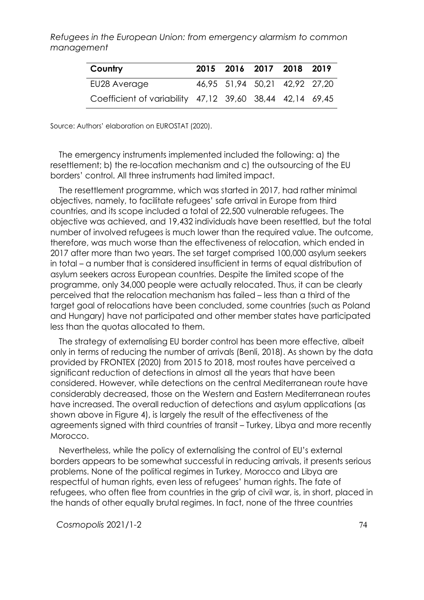| Country                                                  | 2015 2016 2017 2018 2019      |  |  |
|----------------------------------------------------------|-------------------------------|--|--|
| EU28 Average                                             | 46,95 51,94 50,21 42,92 27,20 |  |  |
| Coefficient of variability 47,12 39,60 38,44 42,14 69,45 |                               |  |  |

Source: Authors' elaboration on EUROSTAT (2020).

The emergency instruments implemented included the following: a) the resettlement; b) the re-location mechanism and c) the outsourcing of the EU borders' control. All three instruments had limited impact.

The resettlement programme, which was started in 2017, had rather minimal objectives, namely, to facilitate refugees' safe arrival in Europe from third countries, and its scope included a total of 22,500 vulnerable refugees. The objective was achieved, and 19,432 individuals have been resettled, but the total number of involved refugees is much lower than the required value. The outcome, therefore, was much worse than the effectiveness of relocation, which ended in 2017 after more than two years. The set target comprised 100,000 asylum seekers in total – a number that is considered insufficient in terms of equal distribution of asylum seekers across European countries. Despite the limited scope of the programme, only 34,000 people were actually relocated. Thus, it can be clearly perceived that the relocation mechanism has failed – less than a third of the target goal of relocations have been concluded, some countries (such as Poland and Hungary) have not participated and other member states have participated less than the quotas allocated to them.

The strategy of externalising EU border control has been more effective, albeit only in terms of reducing the number of arrivals (Benli, 2018). As shown by the data provided by FRONTEX (2020) from 2015 to 2018, most routes have perceived a significant reduction of detections in almost all the years that have been considered. However, while detections on the central Mediterranean route have considerably decreased, those on the Western and Eastern Mediterranean routes have increased. The overall reduction of detections and asylum applications (as shown above in Figure 4), is largely the result of the effectiveness of the agreements signed with third countries of transit – Turkey, Libya and more recently Morocco.

Nevertheless, while the policy of externalising the control of EU's external borders appears to be somewhat successful in reducing arrivals, it presents serious problems. None of the political regimes in Turkey, Morocco and Libya are respectful of human rights, even less of refugees' human rights. The fate of refugees, who often flee from countries in the grip of civil war, is, in short, placed in the hands of other equally brutal regimes. In fact, none of the three countries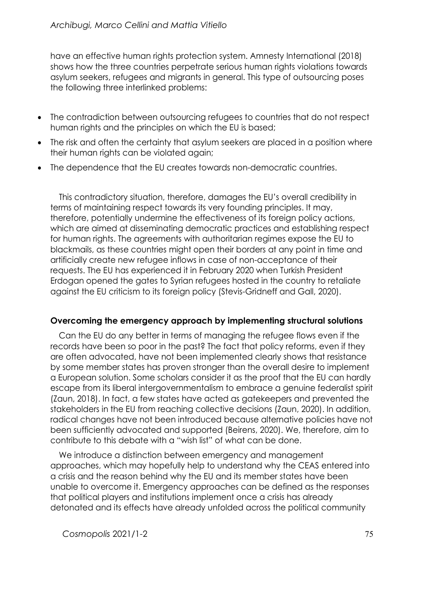have an effective human rights protection system. Amnesty International (2018) shows how the three countries perpetrate serious human rights violations towards asylum seekers, refugees and migrants in general. This type of outsourcing poses the following three interlinked problems:

- The contradiction between outsourcing refugees to countries that do not respect human rights and the principles on which the EU is based;
- The risk and often the certainty that asylum seekers are placed in a position where their human rights can be violated again;
- The dependence that the EU creates towards non-democratic countries.

This contradictory situation, therefore, damages the EU's overall credibility in terms of maintaining respect towards its very founding principles. It may, therefore, potentially undermine the effectiveness of its foreign policy actions, which are aimed at disseminating democratic practices and establishing respect for human rights. The agreements with authoritarian regimes expose the EU to blackmails, as these countries might open their borders at any point in time and artificially create new refugee inflows in case of non-acceptance of their requests. The EU has experienced it in February 2020 when Turkish President Erdogan opened the gates to Syrian refugees hosted in the country to retaliate against the EU criticism to its foreign policy (Stevis-Gridneff and Gall, 2020).

## **Overcoming the emergency approach by implementing structural solutions**

Can the EU do any better in terms of managing the refugee flows even if the records have been so poor in the past? The fact that policy reforms, even if they are often advocated, have not been implemented clearly shows that resistance by some member states has proven stronger than the overall desire to implement a European solution. Some scholars consider it as the proof that the EU can hardly escape from its liberal intergovernmentalism to embrace a genuine federalist spirit (Zaun, 2018). In fact, a few states have acted as gatekeepers and prevented the stakeholders in the EU from reaching collective decisions (Zaun, 2020). In addition, radical changes have not been introduced because alternative policies have not been sufficiently advocated and supported (Beirens, 2020). We, therefore, aim to contribute to this debate with a "wish list" of what can be done.

We introduce a distinction between emergency and management approaches, which may hopefully help to understand why the CEAS entered into a crisis and the reason behind why the EU and its member states have been unable to overcome it. Emergency approaches can be defined as the responses that political players and institutions implement once a crisis has already detonated and its effects have already unfolded across the political community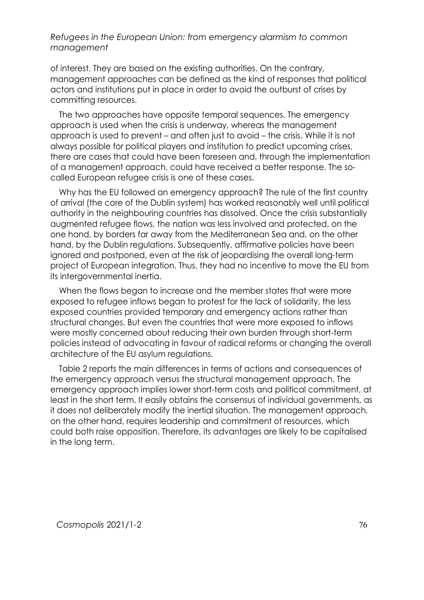of interest. They are based on the existing authorities. On the contrary, management approaches can be defined as the kind of responses that political actors and institutions put in place in order to avoid the outburst of crises by committing resources.

The two approaches have opposite temporal sequences. The emergency approach is used when the crisis is underway, whereas the management approach is used to prevent – and often just to avoid – the crisis. While it is not always possible for political players and institution to predict upcoming crises, there are cases that could have been foreseen and, through the implementation of a management approach, could have received a better response. The socalled European refugee crisis is one of these cases.

Why has the EU followed an emergency approach? The rule of the first country of arrival (the core of the Dublin system) has worked reasonably well until political authority in the neighbouring countries has dissolved. Once the crisis substantially augmented refugee flows, the nation was less involved and protected, on the one hand, by borders far away from the Mediterranean Sea and, on the other hand, by the Dublin regulations. Subsequently, affirmative policies have been ignored and postponed, even at the risk of jeopardising the overall long-term project of European integration. Thus, they had no incentive to move the EU from its intergovernmental inertia.

When the flows began to increase and the member states that were more exposed to refugee inflows began to protest for the lack of solidarity, the less exposed countries provided temporary and emergency actions rather than structural changes. But even the countries that were more exposed to inflows were mostly concerned about reducing their own burden through short-term policies instead of advocating in favour of radical reforms or changing the overall architecture of the EU asylum regulations.

Table 2 reports the main differences in terms of actions and consequences of the emergency approach versus the structural management approach. The emergency approach implies lower short-term costs and political commitment, at least in the short term. It easily obtains the consensus of individual governments, as it does not deliberately modify the inertial situation. The management approach, on the other hand, requires leadership and commitment of resources, which could both raise opposition. Therefore, its advantages are likely to be capitalised in the long term.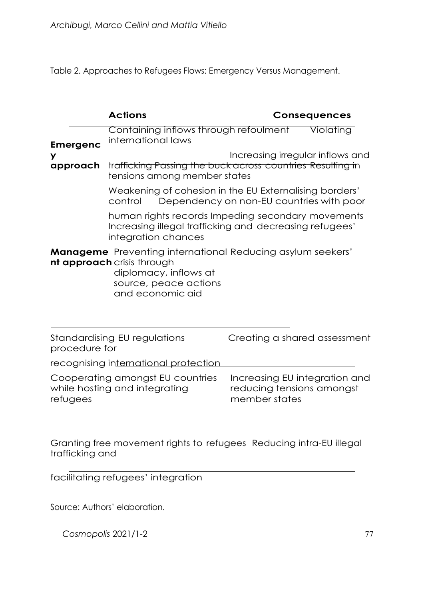Table 2. Approaches to Refugees Flows: Emergency Versus Management.

|                 | <b>Actions</b>                                                                                                                                                        |                                            | <b>Consequences</b>           |  |  |  |
|-----------------|-----------------------------------------------------------------------------------------------------------------------------------------------------------------------|--------------------------------------------|-------------------------------|--|--|--|
| <b>Emergenc</b> | Containing inflows through refoulment<br>international laws                                                                                                           |                                            | Violating                     |  |  |  |
| У<br>approach   | Increasing irregular inflows and<br>trafficking Passing the buck across countries Resulting in<br>tensions among member states                                        |                                            |                               |  |  |  |
|                 | Weakening of cohesion in the EU Externalising borders'<br>Dependency on non-EU countries with poor<br>control                                                         |                                            |                               |  |  |  |
|                 | human rights records Impeding secondary movements<br>Increasing illegal trafficking and decreasing refugees'<br>integration chances                                   |                                            |                               |  |  |  |
|                 | <b>Manageme</b> Preventing international Reducing asylum seekers'<br>nt approach crisis through<br>diplomacy, inflows at<br>source, peace actions<br>and economic aid |                                            |                               |  |  |  |
| procedure for   | Standardising EU regulations                                                                                                                                          | Creating a shared assessment               |                               |  |  |  |
|                 | recognising international protection                                                                                                                                  |                                            |                               |  |  |  |
| refugees        | Cooperating amongst EU countries<br>while hosting and integrating                                                                                                     | reducing tensions amongst<br>member states | Increasing EU integration and |  |  |  |

Granting free movement rights to refugees Reducing intra-EU illegal trafficking and

facilitating refugees' integration

Source: Authors' elaboration.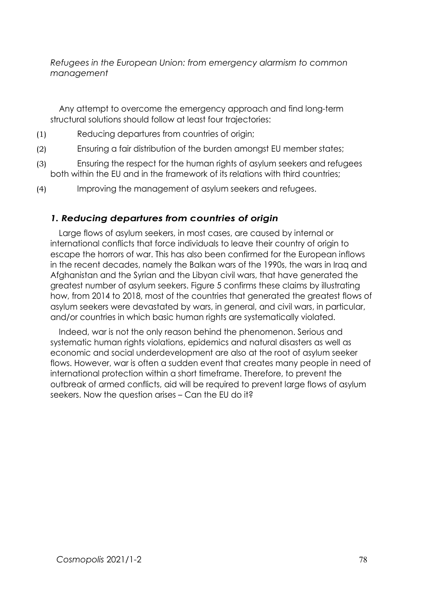Any attempt to overcome the emergency approach and find long-term structural solutions should follow at least four trajectories:

- (1) Reducing departures from countries of origin;
- (2) Ensuring a fair distribution of the burden amongst EU member states;
- (3) Ensuring the respect for the human rights of asylum seekers and refugees both within the EU and in the framework of its relations with third countries;
- (4) Improving the management of asylum seekers and refugees.

#### *1. Reducing departures from countries of origin*

Large flows of asylum seekers, in most cases, are caused by internal or international conflicts that force individuals to leave their country of origin to escape the horrors of war. This has also been confirmed for the European inflows in the recent decades, namely the Balkan wars of the 1990s, the wars in Iraq and Afghanistan and the Syrian and the Libyan civil wars, that have generated the greatest number of asylum seekers. Figure 5 confirms these claims by illustrating how, from 2014 to 2018, most of the countries that generated the greatest flows of asylum seekers were devastated by wars, in general, and civil wars, in particular, and/or countries in which basic human rights are systematically violated.

Indeed, war is not the only reason behind the phenomenon. Serious and systematic human rights violations, epidemics and natural disasters as well as economic and social underdevelopment are also at the root of asylum seeker flows. However, war is often a sudden event that creates many people in need of international protection within a short timeframe. Therefore, to prevent the outbreak of armed conflicts, aid will be required to prevent large flows of asylum seekers. Now the question arises – Can the EU do it?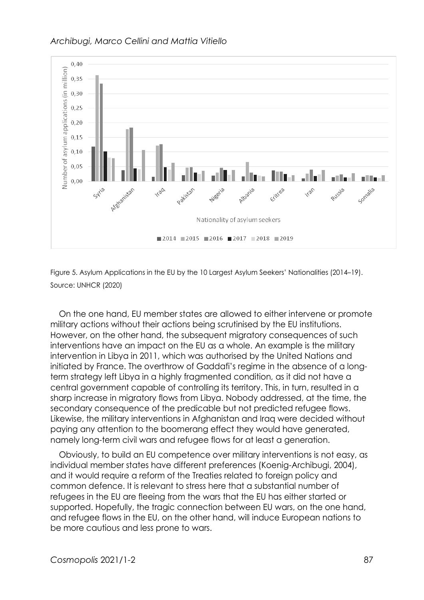

Figure 5. Asylum Applications in the EU by the 10 Largest Asylum Seekers' Nationalities (2014–19). Source: UNHCR (2020)

On the one hand, EU member states are allowed to either intervene or promote military actions without their actions being scrutinised by the EU institutions. However, on the other hand, the subsequent migratory consequences of such interventions have an impact on the EU as a whole. An example is the military intervention in Libya in 2011, which was authorised by the United Nations and initiated by France. The overthrow of Gaddafi's regime in the absence of a longterm strategy left Libya in a highly fragmented condition, as it did not have a central government capable of controlling its territory. This, in turn, resulted in a sharp increase in migratory flows from Libya. Nobody addressed, at the time, the secondary consequence of the predicable but not predicted refugee flows. Likewise, the military interventions in Afghanistan and Iraq were decided without paying any attention to the boomerang effect they would have generated, namely long-term civil wars and refugee flows for at least a generation.

Obviously, to build an EU competence over military interventions is not easy, as individual member states have different preferences (Koenig-Archibugi, 2004), and it would require a reform of the Treaties related to foreign policy and common defence. It is relevant to stress here that a substantial number of refugees in the EU are fleeing from the wars that the EU has either started or supported. Hopefully, the tragic connection between EU wars, on the one hand, and refugee flows in the EU, on the other hand, will induce European nations to be more cautious and less prone to wars.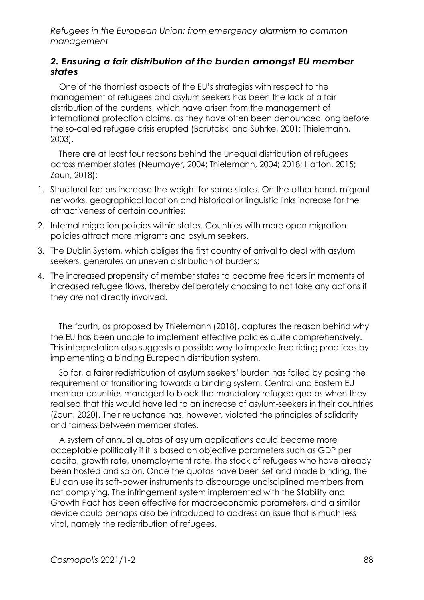#### *2. Ensuring a fair distribution of the burden amongst EU member states*

One of the thorniest aspects of the EU's strategies with respect to the management of refugees and asylum seekers has been the lack of a fair distribution of the burdens, which have arisen from the management of international protection claims, as they have often been denounced long before the so-called refugee crisis erupted (Barutciski and Suhrke, 2001; Thielemann, 2003).

There are at least four reasons behind the unequal distribution of refugees across member states (Neumayer, 2004; Thielemann, 2004; 2018; Hatton, 2015; Zaun, 2018):

- 1. Structural factors increase the weight for some states. On the other hand, migrant networks, geographical location and historical or linguistic links increase for the attractiveness of certain countries;
- 2. Internal migration policies within states. Countries with more open migration policies attract more migrants and asylum seekers.
- 3. The Dublin System, which obliges the first country of arrival to deal with asylum seekers, generates an uneven distribution of burdens;
- 4. The increased propensity of member states to become free riders in moments of increased refugee flows, thereby deliberately choosing to not take any actions if they are not directly involved.

The fourth, as proposed by Thielemann (2018), captures the reason behind why the EU has been unable to implement effective policies quite comprehensively. This interpretation also suggests a possible way to impede free riding practices by implementing a binding European distribution system.

So far, a fairer redistribution of asylum seekers' burden has failed by posing the requirement of transitioning towards a binding system. Central and Eastern EU member countries managed to block the mandatory refugee quotas when they realised that this would have led to an increase of asylum-seekers in their countries (Zaun, 2020). Their reluctance has, however, violated the principles of solidarity and fairness between member states.

A system of annual quotas of asylum applications could become more acceptable politically if it is based on objective parameters such as GDP per capita, growth rate, unemployment rate, the stock of refugees who have already been hosted and so on. Once the quotas have been set and made binding, the EU can use its soft-power instruments to discourage undisciplined members from not complying. The infringement system implemented with the Stability and Growth Pact has been effective for macroeconomic parameters, and a similar device could perhaps also be introduced to address an issue that is much less vital, namely the redistribution of refugees.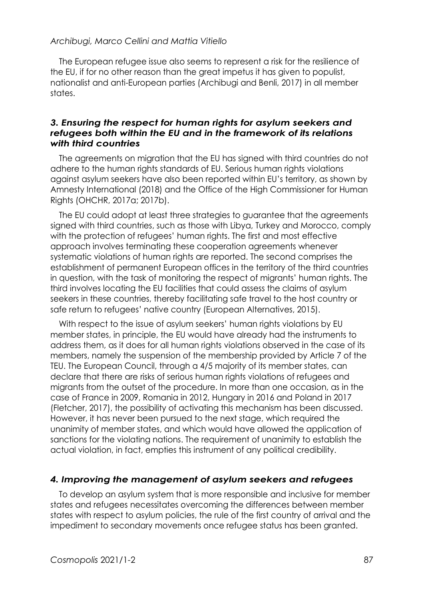The European refugee issue also seems to represent a risk for the resilience of the EU, if for no other reason than the great impetus it has given to populist, nationalist and anti-European parties (Archibugi and Benli, 2017) in all member states.

#### *3. Ensuring the respect for human rights for asylum seekers and refugees both within the EU and in the framework of its relations with third countries*

The agreements on migration that the EU has signed with third countries do not adhere to the human rights standards of EU. Serious human rights violations against asylum seekers have also been reported within EU's territory, as shown by Amnesty International (2018) and the Office of the High Commissioner for Human Rights (OHCHR, 2017a; 2017b).

The EU could adopt at least three strategies to guarantee that the agreements signed with third countries, such as those with Libya, Turkey and Morocco, comply with the protection of refugees' human rights. The first and most effective approach involves terminating these cooperation agreements whenever systematic violations of human rights are reported. The second comprises the establishment of permanent European offices in the territory of the third countries in question, with the task of monitoring the respect of migrants' human rights. The third involves locating the EU facilities that could assess the claims of asylum seekers in these countries, thereby facilitating safe travel to the host country or safe return to refugees' native country (European Alternatives, 2015).

With respect to the issue of asylum seekers' human rights violations by EU member states, in principle, the EU would have already had the instruments to address them, as it does for all human rights violations observed in the case of its members, namely the suspension of the membership provided by Article 7 of the TEU. The European Council, through a 4/5 majority of its member states, can declare that there are risks of serious human rights violations of refugees and migrants from the outset of the procedure. In more than one occasion, as in the case of France in 2009, Romania in 2012, Hungary in 2016 and Poland in 2017 (Fletcher, 2017), the possibility of activating this mechanism has been discussed. However, it has never been pursued to the next stage, which required the unanimity of member states, and which would have allowed the application of sanctions for the violating nations. The requirement of unanimity to establish the actual violation, in fact, empties this instrument of any political credibility.

#### *4. Improving the management of asylum seekers and refugees*

To develop an asylum system that is more responsible and inclusive for member states and refugees necessitates overcoming the differences between member states with respect to asylum policies, the rule of the first country of arrival and the impediment to secondary movements once refugee status has been granted.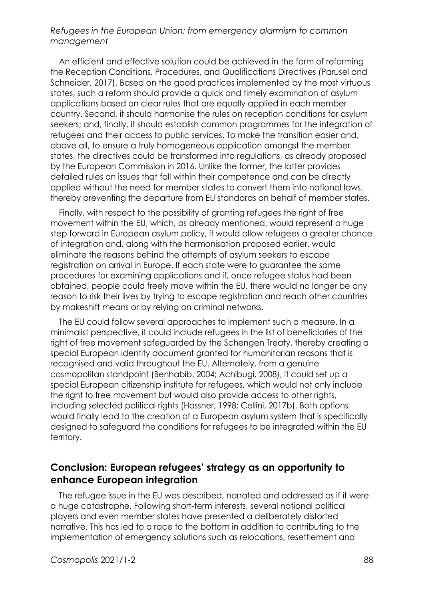An efficient and effective solution could be achieved in the form of reforming the Reception Conditions, Procedures, and Qualifications Directives (Parusel and Schneider, 2017). Based on the good practices implemented by the most virtuous states, such a reform should provide a quick and timely examination of asylum applications based on clear rules that are equally applied in each member country. Second, it should harmonise the rules on reception conditions for asylum seekers; and, finally, it should establish common programmes for the integration of refugees and their access to public services. To make the transition easier and, above all, to ensure a truly homogeneous application amongst the member states, the directives could be transformed into regulations, as already proposed by the European Commission in 2016. Unlike the former, the latter provides detailed rules on issues that fall within their competence and can be directly applied without the need for member states to convert them into national laws, thereby preventing the departure from EU standards on behalf of member states.

Finally, with respect to the possibility of granting refugees the right of free movement within the EU, which, as already mentioned, would represent a huge step forward in European asylum policy, it would allow refugees a greater chance of integration and, along with the harmonisation proposed earlier, would eliminate the reasons behind the attempts of asylum seekers to escape registration on arrival in Europe. If each state were to guarantee the same procedures for examining applications and if, once refugee status had been obtained, people could freely move within the EU, there would no longer be any reason to risk their lives by trying to escape registration and reach other countries by makeshift means or by relying on criminal networks.

The EU could follow several approaches to implement such a measure. In a minimalist perspective, it could include refugees in the list of beneficiaries of the right of free movement safeguarded by the Schengen Treaty, thereby creating a special European identity document granted for humanitarian reasons that is recognised and valid throughout the EU. Alternately, from a genuine cosmopolitan standpoint (Benhabib, 2004; Achibugi, 2008), it could set up a special European citizenship institute for refugees, which would not only include the right to free movement but would also provide access to other rights, including selected political rights (Hassner, 1998; Cellini, 2017b). Both options would finally lead to the creation of a European asylum system that is specifically designed to safeguard the conditions for refugees to be integrated within the EU territory.

## **Conclusion: European refugees' strategy as an opportunity to enhance European integration**

The refugee issue in the EU was described, narrated and addressed as if it were a huge catastrophe. Following short-term interests, several national political players and even member states have presented a deliberately distorted narrative. This has led to a race to the bottom in addition to contributing to the implementation of emergency solutions such as relocations, resettlement and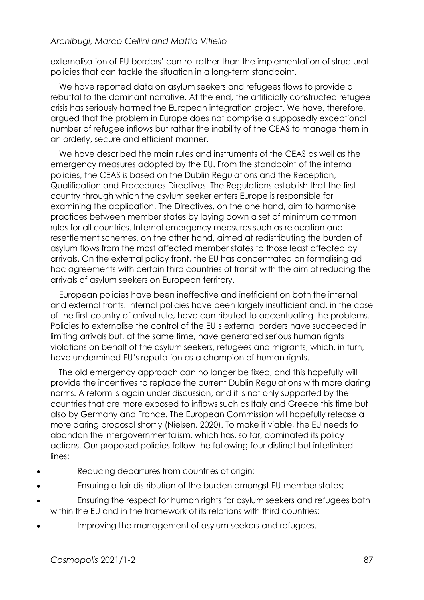externalisation of EU borders' control rather than the implementation of structural policies that can tackle the situation in a long-term standpoint.

We have reported data on asylum seekers and refugees flows to provide a rebuttal to the dominant narrative. At the end, the artificially constructed refugee crisis has seriously harmed the European integration project. We have, therefore, argued that the problem in Europe does not comprise a supposedly exceptional number of refugee inflows but rather the inability of the CEAS to manage them in an orderly, secure and efficient manner.

We have described the main rules and instruments of the CEAS as well as the emergency measures adopted by the EU. From the standpoint of the internal policies, the CEAS is based on the Dublin Regulations and the Reception, Qualification and Procedures Directives. The Regulations establish that the first country through which the asylum seeker enters Europe is responsible for examining the application. The Directives, on the one hand, aim to harmonise practices between member states by laying down a set of minimum common rules for all countries. Internal emergency measures such as relocation and resettlement schemes, on the other hand, aimed at redistributing the burden of asylum flows from the most affected member states to those least affected by arrivals. On the external policy front, the EU has concentrated on formalising ad hoc agreements with certain third countries of transit with the aim of reducing the arrivals of asylum seekers on European territory.

European policies have been ineffective and inefficient on both the internal and external fronts. Internal policies have been largely insufficient and, in the case of the first country of arrival rule, have contributed to accentuating the problems. Policies to externalise the control of the EU's external borders have succeeded in limiting arrivals but, at the same time, have generated serious human rights violations on behalf of the asylum seekers, refugees and migrants, which, in turn, have undermined EU's reputation as a champion of human rights.

The old emergency approach can no longer be fixed, and this hopefully will provide the incentives to replace the current Dublin Regulations with more daring norms. A reform is again under discussion, and it is not only supported by the countries that are more exposed to inflows such as Italy and Greece this time but also by Germany and France. The European Commission will hopefully release a more daring proposal shortly (Nielsen, 2020). To make it viable, the EU needs to abandon the intergovernmentalism, which has, so far, dominated its policy actions. Our proposed policies follow the following four distinct but interlinked lines:

- Reducing departures from countries of origin;
- Ensuring a fair distribution of the burden amongst EU member states;
- Ensuring the respect for human rights for asylum seekers and refugees both within the EU and in the framework of its relations with third countries:
- Improving the management of asylum seekers and refugees.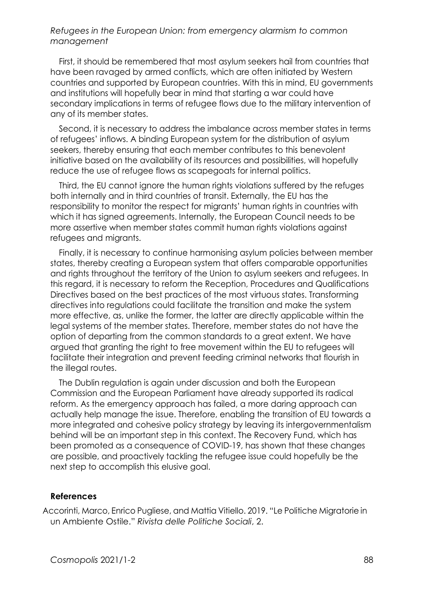First, it should be remembered that most asylum seekers hail from countries that have been ravaged by armed conflicts, which are often initiated by Western countries and supported by European countries. With this in mind, EU governments and institutions will hopefully bear in mind that starting a war could have secondary implications in terms of refugee flows due to the military intervention of any of its member states.

Second, it is necessary to address the imbalance across member states in terms of refugees' inflows. A binding European system for the distribution of asylum seekers, thereby ensuring that each member contributes to this benevolent initiative based on the availability of its resources and possibilities, will hopefully reduce the use of refugee flows as scapegoats for internal politics.

Third, the EU cannot ignore the human rights violations suffered by the refuges both internally and in third countries of transit. Externally, the EU has the responsibility to monitor the respect for migrants' human rights in countries with which it has signed agreements. Internally, the European Council needs to be more assertive when member states commit human rights violations against refugees and migrants.

Finally, it is necessary to continue harmonising asylum policies between member states, thereby creating a European system that offers comparable opportunities and rights throughout the territory of the Union to asylum seekers and refugees. In this regard, it is necessary to reform the Reception, Procedures and Qualifications Directives based on the best practices of the most virtuous states. Transforming directives into regulations could facilitate the transition and make the system more effective, as, unlike the former, the latter are directly applicable within the legal systems of the member states. Therefore, member states do not have the option of departing from the common standards to a great extent. We have argued that granting the right to free movement within the EU to refugees will facilitate their integration and prevent feeding criminal networks that flourish in the illegal routes.

The Dublin regulation is again under discussion and both the European Commission and the European Parliament have already supported its radical reform. As the emergency approach has failed, a more daring approach can actually help manage the issue. Therefore, enabling the transition of EU towards a more integrated and cohesive policy strategy by leaving its intergovernmentalism behind will be an important step in this context. The Recovery Fund, which has been promoted as a consequence of COVID-19, has shown that these changes are possible, and proactively tackling the refugee issue could hopefully be the next step to accomplish this elusive goal.

#### **References**

Accorinti, Marco, Enrico Pugliese, and Mattia Vitiello. 2019. "Le Politiche Migratorie in un Ambiente Ostile." *Rivista delle Politiche Sociali*, 2.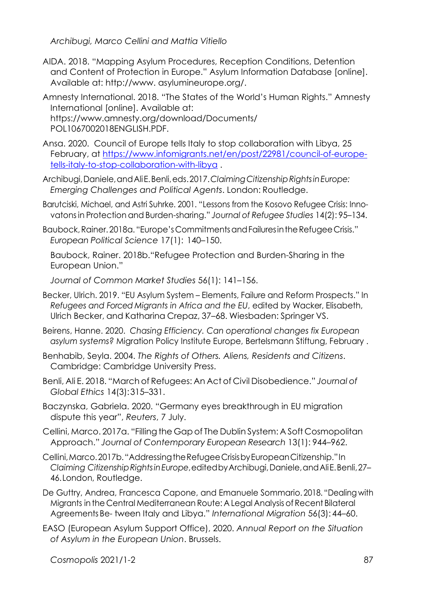- AIDA. 2018. "Mapping Asylum Procedures, Reception Conditions, Detention and Content of Protection in Europe." Asylum Information Database [online]. Available at: [http://www.](http://www/) asylumineurope.org/.
- Amnesty International. 2018. "The States of the World's Human Rights." Amnesty International [online]. Available at: [https://www.amnesty.org/download/Documents/](http://www.amnesty.org/download/Documents/) POL1067002018ENGLISH.PDF.
- Ansa. 2020. Council of Europe tells Italy to stop collaboration with Libya, 25 February, at [https://www.infomigrants.net/en/post/22981/council-of-europe](https://www.infomigrants.net/en/post/22981/council-of-europe-tells-italy-to-stop-collaboration-with-libya)[tells-italy-to-stop-collaboration-with-libya](https://www.infomigrants.net/en/post/22981/council-of-europe-tells-italy-to-stop-collaboration-with-libya) .
- Archibugi,Daniele,andAliE.Benli,eds.2017.*ClaimingCitizenshipRightsinEurope: Emerging Challenges and Political Agents*. London: Routledge.
- Barutciski, Michael, and Astri Suhrke. 2001. "Lessons from the Kosovo Refugee Crisis: Innovatonsin Protection and Burden-sharing." *Journal of Refugee Studies* 14(2): 95–134.
- Baubock,Rainer.2018a. "Europe's CommitmentsandFailuresintheRefugeeCrisis." *European Political Science* 17(1): 140–150.

Baubock, Rainer. 2018b."Refugee Protection and Burden-Sharing in the European Union."

*Journal of Common Market Studies* 56(1): 141–156.

- Becker, Ulrich. 2019. "EU Asylum System Elements, Failure and Reform Prospects." In *Refugees and Forced Migrants in Africa and the EU*, edited by Wacker, Elisabeth, Ulrich Becker, and Katharina Crepaz, 37–68. Wiesbaden: Springer VS.
- Beirens, Hanne. 2020. *Chasing Efficiency. Can operational changes fix European asylum systems?* Migration Policy Institute Europe, Bertelsmann Stiftung, February .
- Benhabib, Seyla. 2004. *The Rights of Others. Aliens, Residents and Citizens*. Cambridge: Cambridge University Press.
- Benli, Ali E. 2018. "March of Refugees: An Act of Civil Disobedience." *Journal of Global Ethics* 14(3):315–331.
- Baczynska, Gabriela. 2020. "Germany eyes breakthrough in EU migration dispute this year", *Reuters*, 7 July.
- Cellini, Marco. 2017a. "Filling the Gap of The Dublin System: A Soft Cosmopolitan Approach." *Journal of Contemporary European Research* 13(1): 944–962.
- Cellini,Marco.2017b."AddressingtheRefugeeCrisisbyEuropeanCitizenship."In *Claiming CitizenshipRightsinEurope*,editedbyArchibugi,Daniele,andAliE.Benli,27– 46.London, Routledge.
- De Guttry, Andrea, Francesca Capone, and Emanuele Sommario. 2018. "Dealing with Migrants inthe Central Mediterranean Route: A Legal Analysisof Recent Bilateral Agreements Be- tween Italy and Libya." *International Migration* 56(3): 44–60.
- EASO (European Asylum Support Office), 2020. *Annual Report on the Situation of Asylum in the European Union*. Brussels.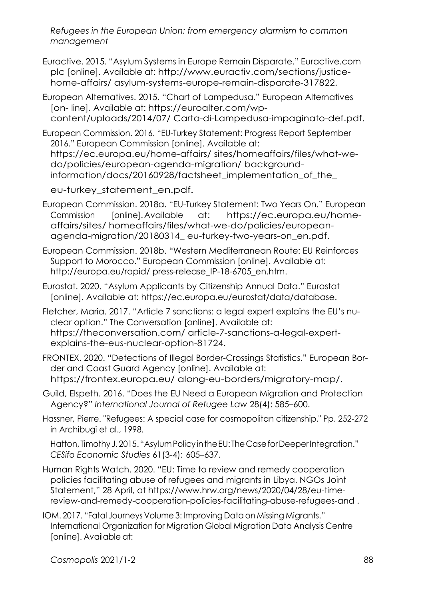Euractive. 2015. "Asylum Systems in Europe Remain Disparate." Euractive.com plc [online]. Available at: [http://www.euractiv.com/sections/justice](http://www.euractiv.com/sections/justice-home-affairs/)[home-affairs/](http://www.euractiv.com/sections/justice-home-affairs/) asylum-systems-europe-remain-disparate-317822.

European Alternatives. 2015. "Chart of Lampedusa." European Alternatives [on- line]. Available at: https://euroalter.com/wpcontent/uploads/2014/07/ Carta-di-Lampedusa-impaginato-def.pdf.

European Commission. 2016. "EU-Turkey Statement: Progress Report September 2016." European Commission [online]. Available at: https://ec.europa.eu/home-affairs/ sites/homeaffairs/files/what-wedo/policies/european-agenda-migration/ backgroundinformation/docs/20160928/factsheet\_implementation\_of\_the\_

eu-turkey\_statement\_en.pdf.

European Commission. 2018a. "EU-Turkey Statement: Two Years On." European Commission [online].Available at: https://ec.europa.eu/homeaffairs/sites/ homeaffairs/files/what-we-do/policies/europeanagenda-migration/20180314\_ eu-turkey-two-years-on\_en.pdf.

European Commission. 2018b. "Western Mediterranean Route: EU Reinforces Support to Morocco." European Commission [online]. Available at: <http://europa.eu/rapid/> press-release IP-18-6705 en.htm.

Eurostat. 2020. "Asylum Applicants by Citizenship Annual Data." Eurostat [online]. Available at: https://ec.europa.eu/eurostat/data/database.

Fletcher, Maria. 2017. "Article 7 sanctions: a legal expert explains the EU's nuclear option." The Conversation [online]. Available at: https://theconversation.com/ article-7-sanctions-a-legal-expertexplains-the-eus-nuclear-option-81724.

FRONTEX. 2020. "Detections of Illegal Border-Crossings Statistics." European Border and Coast Guard Agency [online]. Available at: https://frontex.europa.eu/ along-eu-borders/migratory-map/.

Guild, Elspeth. 2016. "Does the EU Need a European Migration and Protection Agency?" *International Journal of Refugee Law* 28(4): 585–600.

Hassner, Pierre. "Refugees: A special case for cosmopolitan citizenship." Pp. 252-272 in Archibugi et al., 1998.

Hatton, Timothy J. 2015. "Asylum Policy in the EU: The Case for Deeper Integration." *CESifo Economic Studies* 61(3-4): 605–637.

- Human Rights Watch. 2020. "EU: Time to review and remedy cooperation policies facilitating abuse of refugees and migrants in Libya. NGOs Joint Statement," 28 April, at https://www.hrw.org/news/2020/04/28/eu-timereview-and-remedy-cooperation-policies-facilitating-abuse-refugees-and .
- IOM. 2017. "Fatal Journeys Volume3: Improving Dataon Missing Migrants." International Organization for Migration Global Migration Data Analysis Centre [online]. Available at: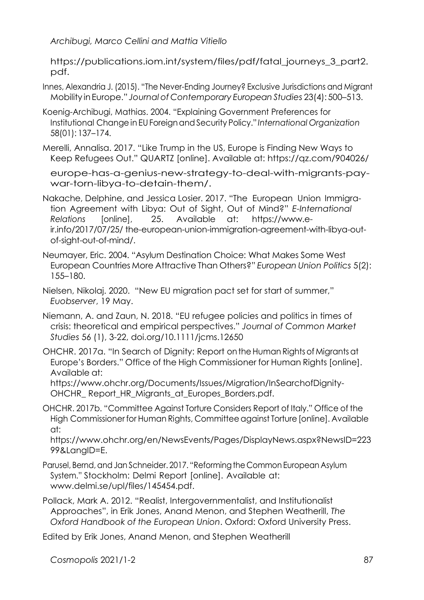https://publications.iom.int/system/files/pdf/fatal\_journeys\_3\_part2. pdf.

Innes, Alexandria J. (2015). "The Never-Ending Journey? Exclusive Jurisdictions and Migrant Mobility inEurope." *Journal of Contemporary European Studies* 23(4): 500–513.

Koenig-Archibugi, Mathias. 2004. "Explaining Government Preferences for Institutional Change in EUForeignandSecurity Policy." *International Organization* 58(01): 137–174.

Merelli, Annalisa. 2017. "Like Trump in the US, Europe is Finding New Ways to Keep Refugees Out." QUARTZ [online]. Available at: https://qz.com/904026/

europe-has-a-genius-new-strategy-to-deal-with-migrants-paywar-torn-libya-to-detain-them/.

Nakache, Delphine, and Jessica Losier. 2017. "The European Union Immigration Agreement with Libya: Out of Sight, Out of Mind?" *E-International Relations* [online], 25. Available at: [https://www.e](http://www.e-ir.info/2017/07/25/)[ir.info/2017/07/25/](http://www.e-ir.info/2017/07/25/) the-european-union-immigration-agreement-with-libya-outof-sight-out-of-mind/.

Neumayer, Eric. 2004. "Asylum Destination Choice: What Makes Some West European Countries More Attractive Than Others?" *European Union Politics* 5(2): 155–180.

Nielsen, Nikolaj. 2020. "New EU migration pact set for start of summer," *Euobserver*, 19 May.

Niemann, A. and Zaun, N. 2018. "EU refugee policies and politics in times of crisis: theoretical and empirical perspectives." *Journal of Common Market Studies* 56 (1), 3-22, [doi.org/10.1111/jcms.12650](https://doi.org/10.1111/jcms.12650)

OHCHR. 2017a. "In Search of Dignity: Report ontheHuman Rightsof Migrantsat Europe's Borders." Office of the High Commissioner for Human Rights [online]. Available at:

[https://www.ohchr.org/Documents/Issues/Migration/InSearchofDignity-](http://www.ohchr.org/Documents/Issues/Migration/InSearchofDignity-OHCHR_)OHCHR\_Report\_HR\_Migrants\_at\_Europes\_Borders.pdf.

OHCHR. 2017b. "Committee Against Torture Considers Report of Italy." Office of the High Commissioner for Human Rights, Committee against Torture[online]. Available at:

https[://www.ohchr.org/en/NewsEvents/Pages/DisplayNews.aspx?NewsID=223](http://www.ohchr.org/en/NewsEvents/Pages/DisplayNews.aspx?NewsID=22399&LangID=E) [99&LangID=E.](http://www.ohchr.org/en/NewsEvents/Pages/DisplayNews.aspx?NewsID=22399&LangID=E)

Parusel, Bernd, and Jan Schneider. 2017. "Reforming the Common European Asylum System." Stockholm: Delmi Report [online]. Available at: [www.delmi.se/upl/files/145454.pdf.](http://www.delmi.se/upl/files/145454.pdf)

Pollack, Mark A. 2012. "Realist, Intergovernmentalist, and Institutionalist Approaches", in Erik Jones, Anand Menon, and Stephen Weatherill, *The Oxford Handbook of the European Union*. Oxford: Oxford University Press.

Edited by Erik Jones, Anand Menon, and Stephen Weatherill